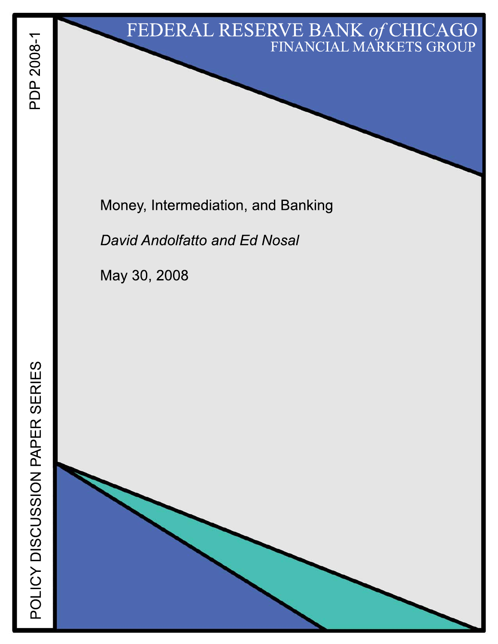# FEDERAL RESERVE BANK of CHICAGO FINANCIAL MARKETS GROUP

Money, Intermediation, and Banking

**David Andolfatto and Ed Nosal** 

May 30, 2008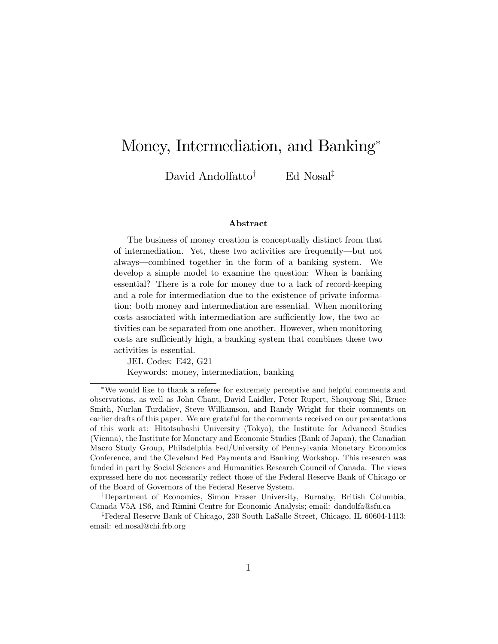# Money, Intermediation, and Banking

David Andolfatto<sup>†</sup> Ed Nosal<sup>‡</sup>

#### Abstract

The business of money creation is conceptually distinct from that of intermediation. Yet, these two activities are frequently—but not always—combined together in the form of a banking system. We develop a simple model to examine the question: When is banking essential? There is a role for money due to a lack of record-keeping and a role for intermediation due to the existence of private information: both money and intermediation are essential. When monitoring costs associated with intermediation are sufficiently low, the two activities can be separated from one another. However, when monitoring costs are sufficiently high, a banking system that combines these two activities is essential.

JEL Codes: E42, G21 Keywords: money, intermediation, banking

We would like to thank a referee for extremely perceptive and helpful comments and observations, as well as John Chant, David Laidler, Peter Rupert, Shouyong Shi, Bruce Smith, Nurlan Turdaliev, Steve Williamson, and Randy Wright for their comments on earlier drafts of this paper. We are grateful for the comments received on our presentations of this work at: Hitotsubashi University (Tokyo), the Institute for Advanced Studies (Vienna), the Institute for Monetary and Economic Studies (Bank of Japan), the Canadian Macro Study Group, Philadelphia Fed/University of Pennsylvania Monetary Economics Conference, and the Cleveland Fed Payments and Banking Workshop. This research was funded in part by Social Sciences and Humanities Research Council of Canada. The views expressed here do not necessarily reflect those of the Federal Reserve Bank of Chicago or of the Board of Governors of the Federal Reserve System.

<sup>&</sup>lt;sup>†</sup>Department of Economics, Simon Fraser University, Burnaby, British Columbia, Canada V5A 1S6, and Rimini Centre for Economic Analysis; email: dandolfa@sfu.ca

<sup>z</sup>Federal Reserve Bank of Chicago, 230 South LaSalle Street, Chicago, IL 60604-1413; email: ed.nosal@chi.frb.org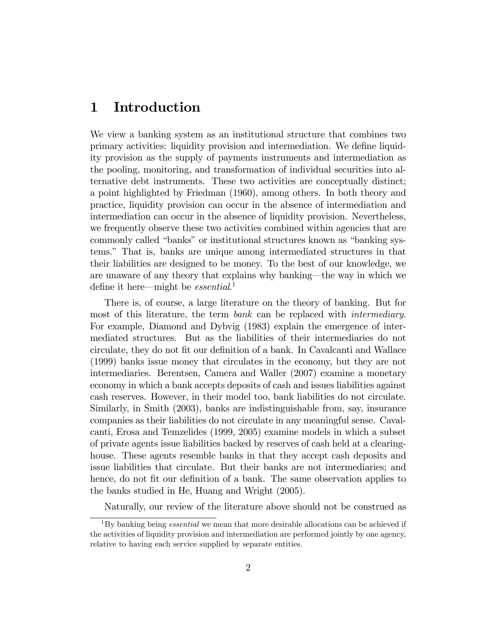#### 1 Introduction

We view a banking system as an institutional structure that combines two primary activities: liquidity provision and intermediation. We define liquidity provision as the supply of payments instruments and intermediation as the pooling, monitoring, and transformation of individual securities into alternative debt instruments. These two activities are conceptually distinct; a point highlighted by Friedman (1960), among others. In both theory and practice, liquidity provision can occur in the absence of intermediation and intermediation can occur in the absence of liquidity provision. Nevertheless, we frequently observe these two activities combined within agencies that are commonly called "banks" or institutional structures known as "banking systems.î That is, banks are unique among intermediated structures in that their liabilities are designed to be money. To the best of our knowledge, we are unaware of any theory that explains why banking—the way in which we define it here—might be *essential*.<sup>1</sup>

There is, of course, a large literature on the theory of banking. But for most of this literature, the term bank can be replaced with intermediary. For example, Diamond and Dybvig (1983) explain the emergence of intermediated structures. But as the liabilities of their intermediaries do not circulate, they do not Öt our deÖnition of a bank. In Cavalcanti and Wallace (1999) banks issue money that circulates in the economy, but they are not intermediaries. Berentsen, Camera and Waller (2007) examine a monetary economy in which a bank accepts deposits of cash and issues liabilities against cash reserves. However, in their model too, bank liabilities do not circulate. Similarly, in Smith (2003), banks are indistinguishable from, say, insurance companies as their liabilities do not circulate in any meaningful sense. Cavalcanti, Erosa and Temzelides (1999, 2005) examine models in which a subset of private agents issue liabilities backed by reserves of cash held at a clearinghouse. These agents resemble banks in that they accept cash deposits and issue liabilities that circulate. But their banks are not intermediaries; and hence, do not fit our definition of a bank. The same observation applies to the banks studied in He, Huang and Wright (2005).

Naturally, our review of the literature above should not be construed as

<sup>&</sup>lt;sup>1</sup>By banking being *essential* we mean that more desirable allocations can be achieved if the activities of liquidity provision and intermediation are performed jointly by one agency, relative to having each service supplied by separate entities.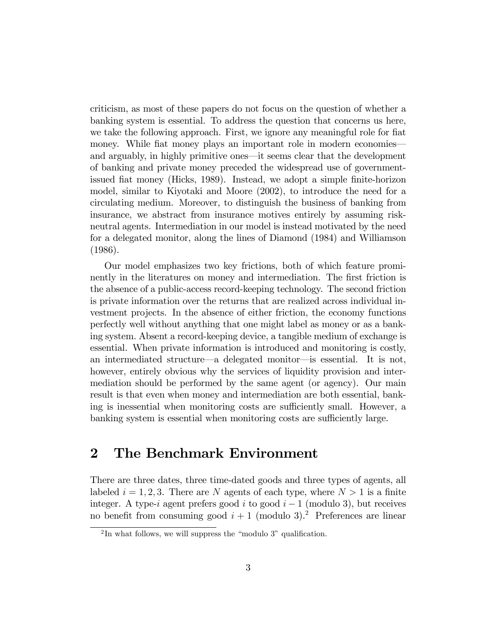criticism, as most of these papers do not focus on the question of whether a banking system is essential. To address the question that concerns us here, we take the following approach. First, we ignore any meaningful role for fiat money. While fiat money plays an important role in modern economies and arguably, in highly primitive ones—it seems clear that the development of banking and private money preceded the widespread use of governmentissued flat money (Hicks, 1989). Instead, we adopt a simple finite-horizon model, similar to Kiyotaki and Moore (2002), to introduce the need for a circulating medium. Moreover, to distinguish the business of banking from insurance, we abstract from insurance motives entirely by assuming riskneutral agents. Intermediation in our model is instead motivated by the need for a delegated monitor, along the lines of Diamond (1984) and Williamson (1986).

Our model emphasizes two key frictions, both of which feature prominently in the literatures on money and intermediation. The first friction is the absence of a public-access record-keeping technology. The second friction is private information over the returns that are realized across individual investment projects. In the absence of either friction, the economy functions perfectly well without anything that one might label as money or as a banking system. Absent a record-keeping device, a tangible medium of exchange is essential. When private information is introduced and monitoring is costly, an intermediated structure—a delegated monitor—is essential. It is not, however, entirely obvious why the services of liquidity provision and intermediation should be performed by the same agent (or agency). Our main result is that even when money and intermediation are both essential, banking is inessential when monitoring costs are sufficiently small. However, a banking system is essential when monitoring costs are sufficiently large.

## 2 The Benchmark Environment

There are three dates, three time-dated goods and three types of agents, all labeled  $i = 1, 2, 3$ . There are N agents of each type, where  $N > 1$  is a finite integer. A type-i agent prefers good i to good  $i-1$  (modulo 3), but receives no benefit from consuming good  $i + 1$  (modulo 3).<sup>2</sup> Preferences are linear

 ${}^{2}$ In what follows, we will suppress the "modulo 3" qualification.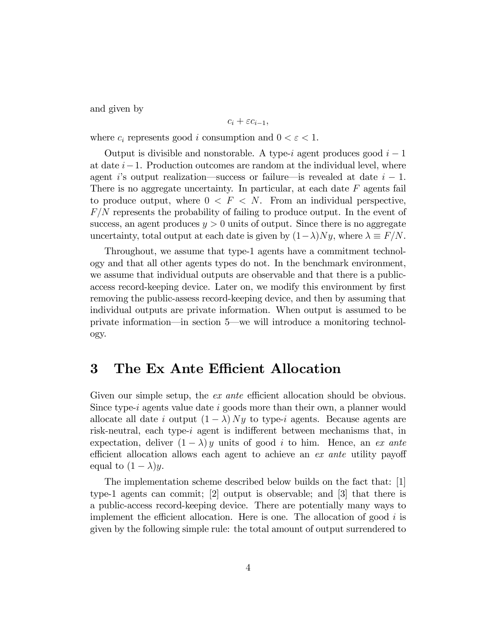and given by

$$
c_i+\varepsilon c_{i-1},
$$

where  $c_i$  represents good i consumption and  $0 < \varepsilon < 1$ .

Output is divisible and nonstorable. A type-i agent produces good  $i-1$ at date  $i-1$ . Production outcomes are random at the individual level, where agent is output realization—success or failure—is revealed at date  $i - 1$ . There is no aggregate uncertainty. In particular, at each date  $F$  agents fail to produce output, where  $0 \leq F \leq N$ . From an individual perspective,  $F/N$  represents the probability of failing to produce output. In the event of success, an agent produces  $y > 0$  units of output. Since there is no aggregate uncertainty, total output at each date is given by  $(1-\lambda)Ny$ , where  $\lambda \equiv F/N$ .

Throughout, we assume that type-1 agents have a commitment technology and that all other agents types do not. In the benchmark environment, we assume that individual outputs are observable and that there is a publicaccess record-keeping device. Later on, we modify this environment by first removing the public-assess record-keeping device, and then by assuming that individual outputs are private information. When output is assumed to be private information—in section 5—we will introduce a monitoring technology.

#### 3 The Ex Ante Efficient Allocation

Given our simple setup, the  $ex$  ante efficient allocation should be obvious. Since type-i agents value date i goods more than their own, a planner would allocate all date i output  $(1 - \lambda) Ny$  to type-i agents. Because agents are risk-neutral, each type-i agent is indifferent between mechanisms that, in expectation, deliver  $(1 - \lambda) y$  units of good i to him. Hence, an ex ante efficient allocation allows each agent to achieve an  $ex$  ante utility payoff equal to  $(1 - \lambda)y$ .

The implementation scheme described below builds on the fact that: [1] type-1 agents can commit; [2] output is observable; and [3] that there is a public-access record-keeping device. There are potentially many ways to implement the efficient allocation. Here is one. The allocation of good  $i$  is given by the following simple rule: the total amount of output surrendered to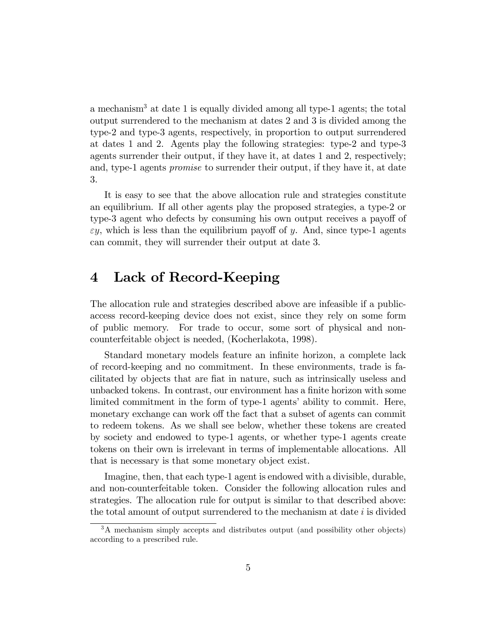a mechanism<sup>3</sup> at date 1 is equally divided among all type-1 agents; the total output surrendered to the mechanism at dates 2 and 3 is divided among the type-2 and type-3 agents, respectively, in proportion to output surrendered at dates 1 and 2. Agents play the following strategies: type-2 and type-3 agents surrender their output, if they have it, at dates 1 and 2, respectively; and, type-1 agents promise to surrender their output, if they have it, at date 3.

It is easy to see that the above allocation rule and strategies constitute an equilibrium. If all other agents play the proposed strategies, a type-2 or type-3 agent who defects by consuming his own output receives a payoff of  $\varepsilon y$ , which is less than the equilibrium payoff of y. And, since type-1 agents can commit, they will surrender their output at date 3.

#### 4 Lack of Record-Keeping

The allocation rule and strategies described above are infeasible if a publicaccess record-keeping device does not exist, since they rely on some form of public memory. For trade to occur, some sort of physical and noncounterfeitable object is needed, (Kocherlakota, 1998).

Standard monetary models feature an infinite horizon, a complete lack of record-keeping and no commitment. In these environments, trade is facilitated by objects that are Öat in nature, such as intrinsically useless and unbacked tokens. In contrast, our environment has a finite horizon with some limited commitment in the form of type-1 agents' ability to commit. Here, monetary exchange can work off the fact that a subset of agents can commit to redeem tokens. As we shall see below, whether these tokens are created by society and endowed to type-1 agents, or whether type-1 agents create tokens on their own is irrelevant in terms of implementable allocations. All that is necessary is that some monetary object exist.

Imagine, then, that each type-1 agent is endowed with a divisible, durable, and non-counterfeitable token. Consider the following allocation rules and strategies. The allocation rule for output is similar to that described above: the total amount of output surrendered to the mechanism at date  $i$  is divided

<sup>3</sup>A mechanism simply accepts and distributes output (and possibility other objects) according to a prescribed rule.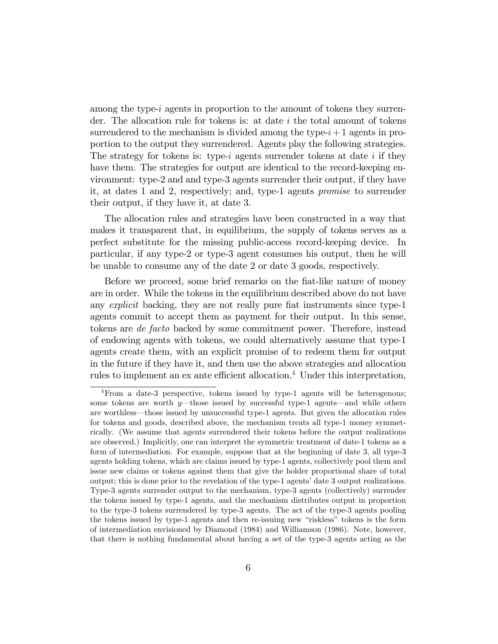among the type-i agents in proportion to the amount of tokens they surrender. The allocation rule for tokens is: at date  $i$  the total amount of tokens surrendered to the mechanism is divided among the type- $i+1$  agents in proportion to the output they surrendered. Agents play the following strategies. The strategy for tokens is: type-i agents surrender tokens at date i if they have them. The strategies for output are identical to the record-keeping environment: type-2 and and type-3 agents surrender their output, if they have it, at dates 1 and 2, respectively; and, type-1 agents promise to surrender their output, if they have it, at date 3.

The allocation rules and strategies have been constructed in a way that makes it transparent that, in equilibrium, the supply of tokens serves as a perfect substitute for the missing public-access record-keeping device. In particular, if any type-2 or type-3 agent consumes his output, then he will be unable to consume any of the date 2 or date 3 goods, respectively.

Before we proceed, some brief remarks on the fiat-like nature of money are in order. While the tokens in the equilibrium described above do not have any *explicit* backing, they are not really pure fiat instruments since type-1 agents commit to accept them as payment for their output. In this sense, tokens are de facto backed by some commitment power. Therefore, instead of endowing agents with tokens, we could alternatively assume that type-1 agents create them, with an explicit promise of to redeem them for output in the future if they have it, and then use the above strategies and allocation rules to implement an ex ante efficient allocation.<sup>4</sup> Under this interpretation,

<sup>&</sup>lt;sup>4</sup>From a date-3 perspective, tokens issued by type-1 agents will be heterogenous; some tokens are worth  $y$ —those issued by successful type-1 agents—and while others are worthless—those issued by unsuccessful type-1 agents. But given the allocation rules for tokens and goods, described above, the mechanism treats all type-1 money symmetrically. (We assume that agents surrendered their tokens before the output realizations are observed.) Implicitly, one can interpret the symmetric treatment of date-1 tokens as a form of intermediation. For example, suppose that at the beginning of date 3, all type-3 agents holding tokens, which are claims issued by type-1 agents, collectively pool them and issue new claims or tokens against them that give the holder proportional share of total output; this is done prior to the revelation of the type-1 agents' date 3 output realizations. Type-3 agents surrender output to the mechanism, type-3 agents (collectively) surrender the tokens issued by type-1 agents, and the mechanism distributes output in proportion to the type-3 tokens surrendered by type-3 agents. The act of the type-3 agents pooling the tokens issued by type-1 agents and then re-issuing new "riskless" tokens is the form of intermediation envisioned by Diamond (1984) and Williamson (1986). Note, however, that there is nothing fundamental about having a set of the type-3 agents acting as the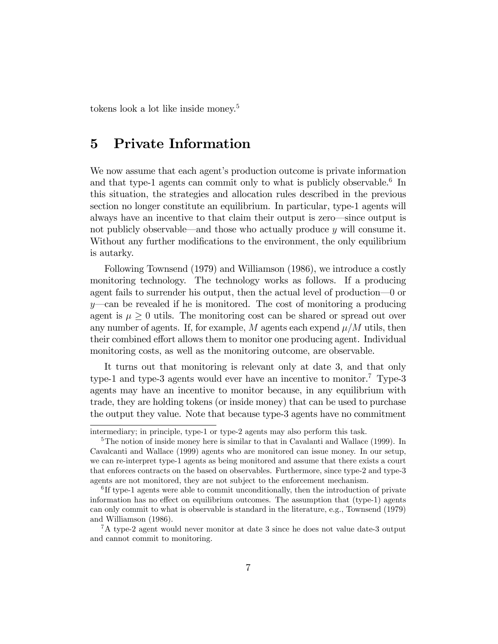tokens look a lot like inside money.<sup>5</sup>

### 5 Private Information

We now assume that each agent's production outcome is private information and that type-1 agents can commit only to what is publicly observable.<sup>6</sup> In this situation, the strategies and allocation rules described in the previous section no longer constitute an equilibrium. In particular, type-1 agents will always have an incentive to that claim their output is zero—since output is not publicly observable—and those who actually produce  $y$  will consume it. Without any further modifications to the environment, the only equilibrium is autarky.

Following Townsend (1979) and Williamson (1986), we introduce a costly monitoring technology. The technology works as follows. If a producing agent fails to surrender his output, then the actual level of production $\sim 0$  or  $y$ —can be revealed if he is monitored. The cost of monitoring a producing agent is  $\mu \geq 0$  utils. The monitoring cost can be shared or spread out over any number of agents. If, for example, M agents each expend  $\mu/M$  utils, then their combined effort allows them to monitor one producing agent. Individual monitoring costs, as well as the monitoring outcome, are observable.

It turns out that monitoring is relevant only at date 3, and that only type-1 and type-3 agents would ever have an incentive to monitor.<sup>7</sup> Type-3 agents may have an incentive to monitor because, in any equilibrium with trade, they are holding tokens (or inside money) that can be used to purchase the output they value. Note that because type-3 agents have no commitment

intermediary; in principle, type-1 or type-2 agents may also perform this task.

<sup>&</sup>lt;sup>5</sup>The notion of inside money here is similar to that in Cavalanti and Wallace (1999). In Cavalcanti and Wallace (1999) agents who are monitored can issue money. In our setup, we can re-interpret type-1 agents as being monitored and assume that there exists a court that enforces contracts on the based on observables. Furthermore, since type-2 and type-3 agents are not monitored, they are not subject to the enforcement mechanism.

<sup>&</sup>lt;sup>6</sup>If type-1 agents were able to commit unconditionally, then the introduction of private information has no effect on equilibrium outcomes. The assumption that  $(type-1)$  agents can only commit to what is observable is standard in the literature, e.g., Townsend (1979) and Williamson (1986).

<sup>7</sup>A type-2 agent would never monitor at date 3 since he does not value date-3 output and cannot commit to monitoring.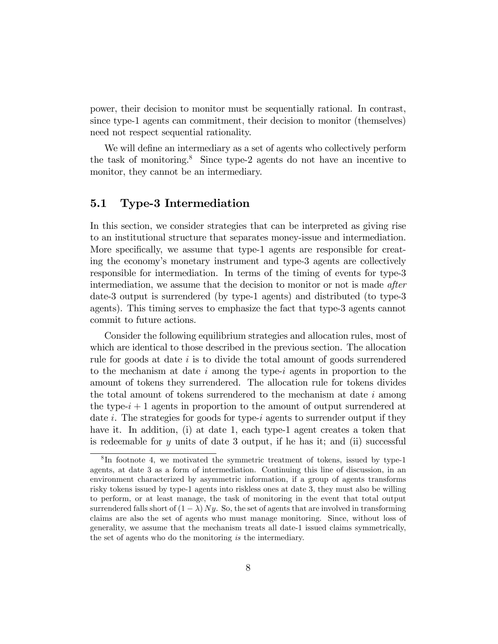power, their decision to monitor must be sequentially rational. In contrast, since type-1 agents can commitment, their decision to monitor (themselves) need not respect sequential rationality.

We will define an intermediary as a set of agents who collectively perform the task of monitoring.<sup>8</sup> Since type-2 agents do not have an incentive to monitor, they cannot be an intermediary.

#### 5.1 Type-3 Intermediation

In this section, we consider strategies that can be interpreted as giving rise to an institutional structure that separates money-issue and intermediation. More specifically, we assume that type-1 agents are responsible for creating the economy's monetary instrument and type-3 agents are collectively responsible for intermediation. In terms of the timing of events for type-3 intermediation, we assume that the decision to monitor or not is made *after* date-3 output is surrendered (by type-1 agents) and distributed (to type-3 agents). This timing serves to emphasize the fact that type-3 agents cannot commit to future actions.

Consider the following equilibrium strategies and allocation rules, most of which are identical to those described in the previous section. The allocation rule for goods at date i is to divide the total amount of goods surrendered to the mechanism at date i among the type-i agents in proportion to the amount of tokens they surrendered. The allocation rule for tokens divides the total amount of tokens surrendered to the mechanism at date  $i$  among the type- $i + 1$  agents in proportion to the amount of output surrendered at date i. The strategies for goods for type-i agents to surrender output if they have it. In addition, (i) at date 1, each type-1 agent creates a token that is redeemable for y units of date 3 output, if he has it; and (ii) successful

<sup>8</sup> In footnote 4, we motivated the symmetric treatment of tokens, issued by type-1 agents, at date 3 as a form of intermediation. Continuing this line of discussion, in an environment characterized by asymmetric information, if a group of agents transforms risky tokens issued by type-1 agents into riskless ones at date 3, they must also be willing to perform, or at least manage, the task of monitoring in the event that total output surrendered falls short of  $(1 - \lambda) Ny$ . So, the set of agents that are involved in transforming claims are also the set of agents who must manage monitoring. Since, without loss of generality, we assume that the mechanism treats all date-1 issued claims symmetrically, the set of agents who do the monitoring is the intermediary.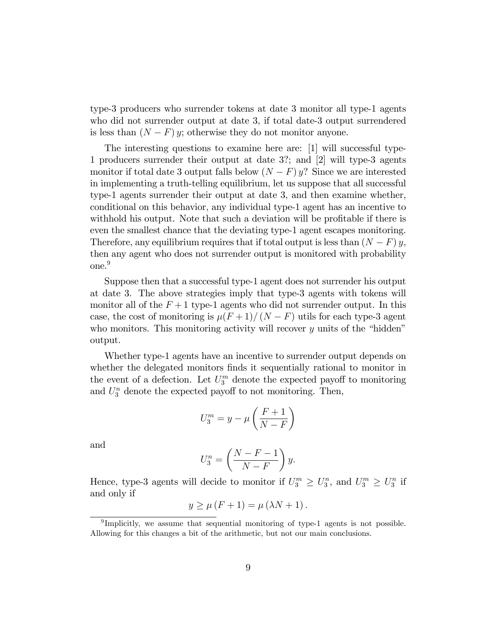type-3 producers who surrender tokens at date 3 monitor all type-1 agents who did not surrender output at date 3, if total date-3 output surrendered is less than  $(N - F)$  y; otherwise they do not monitor anyone.

The interesting questions to examine here are: [1] will successful type-1 producers surrender their output at date 3?; and [2] will type-3 agents monitor if total date 3 output falls below  $(N - F) y$ ? Since we are interested in implementing a truth-telling equilibrium, let us suppose that all successful type-1 agents surrender their output at date 3, and then examine whether, conditional on this behavior, any individual type-1 agent has an incentive to withhold his output. Note that such a deviation will be profitable if there is even the smallest chance that the deviating type-1 agent escapes monitoring. Therefore, any equilibrium requires that if total output is less than  $(N - F) y$ , then any agent who does not surrender output is monitored with probability one.<sup>9</sup>

Suppose then that a successful type-1 agent does not surrender his output at date 3. The above strategies imply that type-3 agents with tokens will monitor all of the  $F+1$  type-1 agents who did not surrender output. In this case, the cost of monitoring is  $\mu(F + 1)/(N - F)$  utils for each type-3 agent who monitors. This monitoring activity will recover  $y$  units of the "hidden" output.

Whether type-1 agents have an incentive to surrender output depends on whether the delegated monitors finds it sequentially rational to monitor in the event of a defection. Let  $U_3^m$  denote the expected payoff to monitoring and  $U_3^n$  denote the expected payoff to not monitoring. Then,

$$
U_3^m = y - \mu \left( \frac{F+1}{N-F} \right)
$$

and

$$
U_3^n = \left(\frac{N - F - 1}{N - F}\right)y.
$$

Hence, type-3 agents will decide to monitor if  $U_3^m \geq U_3^n$ , and  $U_3^m \geq U_3^n$  if and only if

$$
y \ge \mu (F + 1) = \mu (\lambda N + 1).
$$

<sup>&</sup>lt;sup>9</sup>Implicitly, we assume that sequential monitoring of type-1 agents is not possible. Allowing for this changes a bit of the arithmetic, but not our main conclusions.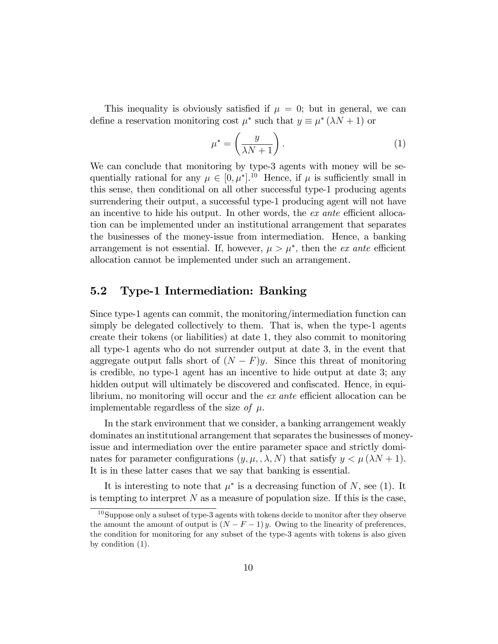This inequality is obviously satisfied if  $\mu = 0$ ; but in general, we can define a reservation monitoring cost  $\mu^*$  such that  $y \equiv \mu^* (\lambda N + 1)$  or

$$
\mu^* = \left(\frac{y}{\lambda N + 1}\right). \tag{1}
$$

We can conclude that monitoring by type-3 agents with money will be sequentially rational for any  $\mu \in [0, \mu^*]$ .<sup>10</sup> Hence, if  $\mu$  is sufficiently small in this sense, then conditional on all other successful type-1 producing agents surrendering their output, a successful type-1 producing agent will not have an incentive to hide his output. In other words, the  $ex$  ante efficient allocation can be implemented under an institutional arrangement that separates the businesses of the money-issue from intermediation. Hence, a banking arrangement is not essential. If, however,  $\mu > \mu^*$ , then the *ex ante* efficient allocation cannot be implemented under such an arrangement.

#### 5.2 Type-1 Intermediation: Banking

Since type-1 agents can commit, the monitoring/intermediation function can simply be delegated collectively to them. That is, when the type-1 agents create their tokens (or liabilities) at date 1, they also commit to monitoring all type-1 agents who do not surrender output at date 3, in the event that aggregate output falls short of  $(N - F)y$ . Since this threat of monitoring is credible, no type-1 agent has an incentive to hide output at date 3; any hidden output will ultimately be discovered and confiscated. Hence, in equilibrium, no monitoring will occur and the  $ex$  ante efficient allocation can be implementable regardless of the size of  $\mu$ .

In the stark environment that we consider, a banking arrangement weakly dominates an institutional arrangement that separates the businesses of moneyissue and intermediation over the entire parameter space and strictly dominates for parameter configurations  $(y, \mu, \lambda, N)$  that satisfy  $y < \mu (\lambda N + 1)$ . It is in these latter cases that we say that banking is essential.

It is interesting to note that  $\mu^*$  is a decreasing function of N, see (1). It is tempting to interpret  $N$  as a measure of population size. If this is the case,

<sup>10</sup>Suppose only a subset of type-3 agents with tokens decide to monitor after they observe the amount the amount of output is  $(N - F - 1) y$ . Owing to the linearity of preferences, the condition for monitoring for any subset of the type-3 agents with tokens is also given by condition (1).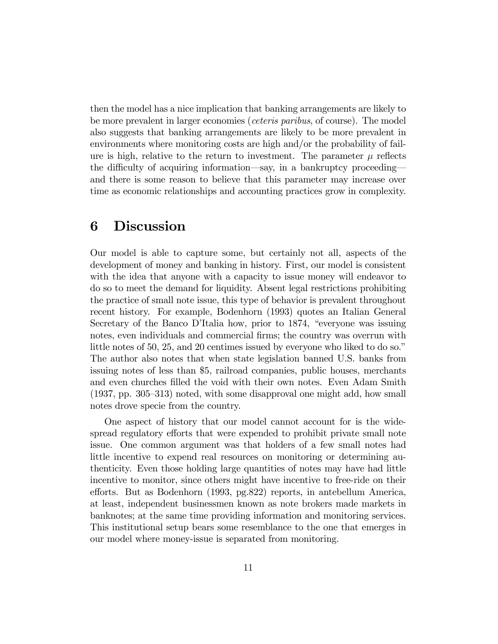then the model has a nice implication that banking arrangements are likely to be more prevalent in larger economies (ceteris paribus, of course). The model also suggests that banking arrangements are likely to be more prevalent in environments where monitoring costs are high and/or the probability of failure is high, relative to the return to investment. The parameter  $\mu$  reflects the difficulty of acquiring information—say, in a bankruptcy proceeding and there is some reason to believe that this parameter may increase over time as economic relationships and accounting practices grow in complexity.

### 6 Discussion

Our model is able to capture some, but certainly not all, aspects of the development of money and banking in history. First, our model is consistent with the idea that anyone with a capacity to issue money will endeavor to do so to meet the demand for liquidity. Absent legal restrictions prohibiting the practice of small note issue, this type of behavior is prevalent throughout recent history. For example, Bodenhorn (1993) quotes an Italian General Secretary of the Banco D'Italia how, prior to 1874, "everyone was issuing notes, even individuals and commercial firms; the country was overrun with little notes of  $50, 25,$  and  $20$  centimes issued by everyone who liked to do so." The author also notes that when state legislation banned U.S. banks from issuing notes of less than \$5, railroad companies, public houses, merchants and even churches filled the void with their own notes. Even Adam Smith  $(1937, pp. 305–313)$  noted, with some disapproval one might add, how small notes drove specie from the country.

One aspect of history that our model cannot account for is the widespread regulatory efforts that were expended to prohibit private small note issue. One common argument was that holders of a few small notes had little incentive to expend real resources on monitoring or determining authenticity. Even those holding large quantities of notes may have had little incentive to monitor, since others might have incentive to free-ride on their efforts. But as Bodenhorn (1993, pg.822) reports, in antebellum America, at least, independent businessmen known as note brokers made markets in banknotes; at the same time providing information and monitoring services. This institutional setup bears some resemblance to the one that emerges in our model where money-issue is separated from monitoring.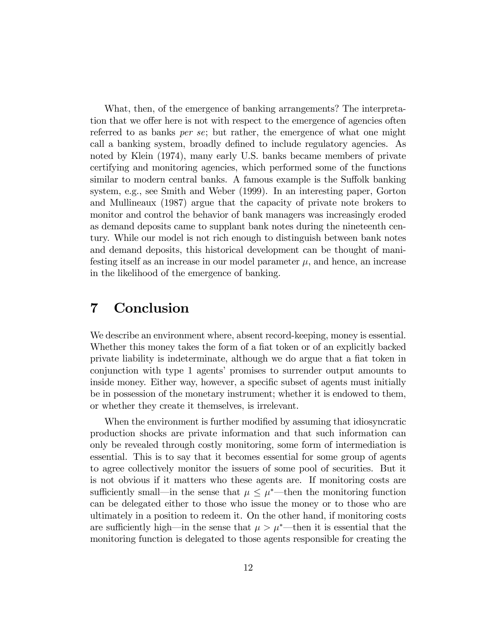What, then, of the emergence of banking arrangements? The interpretation that we offer here is not with respect to the emergence of agencies often referred to as banks per se; but rather, the emergence of what one might call a banking system, broadly defined to include regulatory agencies. As noted by Klein (1974), many early U.S. banks became members of private certifying and monitoring agencies, which performed some of the functions similar to modern central banks. A famous example is the Suffolk banking system, e.g., see Smith and Weber (1999). In an interesting paper, Gorton and Mullineaux (1987) argue that the capacity of private note brokers to monitor and control the behavior of bank managers was increasingly eroded as demand deposits came to supplant bank notes during the nineteenth century. While our model is not rich enough to distinguish between bank notes and demand deposits, this historical development can be thought of manifesting itself as an increase in our model parameter  $\mu$ , and hence, an increase in the likelihood of the emergence of banking.

#### 7 Conclusion

We describe an environment where, absent record-keeping, money is essential. Whether this money takes the form of a fiat token or of an explicitly backed private liability is indeterminate, although we do argue that a flat token in conjunction with type 1 agents' promises to surrender output amounts to inside money. Either way, however, a specific subset of agents must initially be in possession of the monetary instrument; whether it is endowed to them, or whether they create it themselves, is irrelevant.

When the environment is further modified by assuming that idiosyncratic production shocks are private information and that such information can only be revealed through costly monitoring, some form of intermediation is essential. This is to say that it becomes essential for some group of agents to agree collectively monitor the issuers of some pool of securities. But it is not obvious if it matters who these agents are. If monitoring costs are sufficiently small—in the sense that  $\mu \leq \mu^*$ —then the monitoring function can be delegated either to those who issue the money or to those who are ultimately in a position to redeem it. On the other hand, if monitoring costs are sufficiently high—in the sense that  $\mu > \mu^*$ —then it is essential that the monitoring function is delegated to those agents responsible for creating the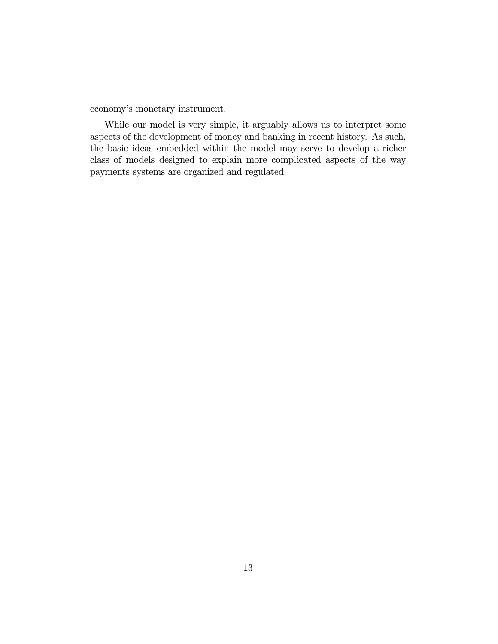economy's monetary instrument.

While our model is very simple, it arguably allows us to interpret some aspects of the development of money and banking in recent history. As such, the basic ideas embedded within the model may serve to develop a richer class of models designed to explain more complicated aspects of the way payments systems are organized and regulated.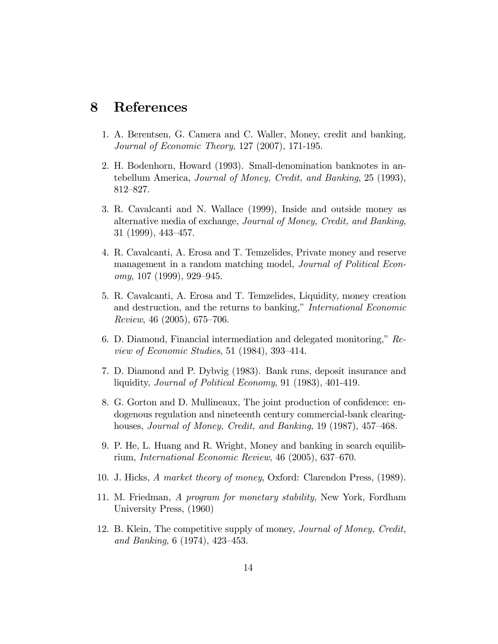#### 8 References

- 1. A. Berentsen, G. Camera and C. Waller, Money, credit and banking, Journal of Economic Theory, 127 (2007), 171-195.
- 2. H. Bodenhorn, Howard (1993). Small-denomination banknotes in antebellum America, Journal of Money, Credit, and Banking, 25 (1993), 812–827.
- 3. R. Cavalcanti and N. Wallace (1999), Inside and outside money as alternative media of exchange, Journal of Money, Credit, and Banking,  $31$  (1999), 443–457.
- 4. R. Cavalcanti, A. Erosa and T. Temzelides, Private money and reserve management in a random matching model, *Journal of Political Econ*omy, 107 (1999), 929–945.
- 5. R. Cavalcanti, A. Erosa and T. Temzelides, Liquidity, money creation and destruction, and the returns to banking," International Economic  $Review, 46 (2005), 675-706.$
- 6. D. Diamond, Financial intermediation and delegated monitoring,"  $Re$ view of Economic Studies, 51 (1984), 393-414.
- 7. D. Diamond and P. Dybvig (1983). Bank runs, deposit insurance and liquidity, Journal of Political Economy, 91 (1983), 401-419.
- 8. G. Gorton and D. Mullineaux, The joint production of confidence: endogenous regulation and nineteenth century commercial-bank clearinghouses, Journal of Money, Credit, and Banking,  $19(1987)$ ,  $457-468$ .
- 9. P. He, L. Huang and R. Wright, Money and banking in search equilibrium, International Economic Review,  $46$  (2005), 637–670.
- 10. J. Hicks, A market theory of money, Oxford: Clarendon Press, (1989).
- 11. M. Friedman, A program for monetary stability, New York, Fordham University Press, (1960)
- 12. B. Klein, The competitive supply of money, Journal of Money, Credit, and Banking,  $6(1974)$ ,  $423-453$ .